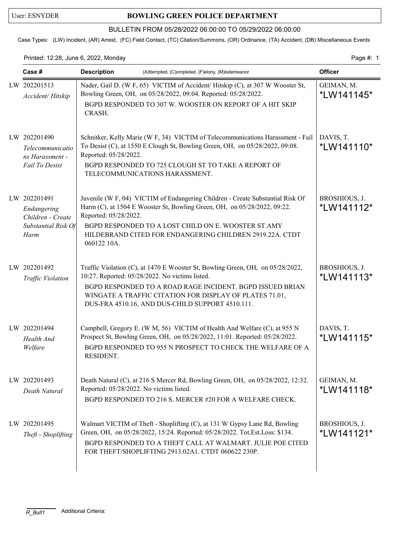## User: ESNYDER **BOWLING GREEN POLICE DEPARTMENT**

## BULLETIN FROM 05/28/2022 06:00:00 TO 05/29/2022 06:00:00

Case Types: (LW) Incident, (AR) Arrest, (FC) Field Contact, (TC) Citation/Summons, (OR) Ordinance, (TA) Accident, (DB) Miscellaneous Events

Printed: 12:28, June 6, 2022, Monday **Page #: 1** Page #: 1

| Case #                                                                          | <b>Officer</b><br><b>Description</b><br>(A)ttempted, (C)ompleted, (F)elony, (M)isdemeanor                                                                                                                                                                                                                             |                             |
|---------------------------------------------------------------------------------|-----------------------------------------------------------------------------------------------------------------------------------------------------------------------------------------------------------------------------------------------------------------------------------------------------------------------|-----------------------------|
| LW 202201513<br>Accident/Hitskip                                                | Nader, Gail D. (W F, 65) VICTIM of Accident/ Hitskip (C), at 307 W Wooster St,<br>Bowling Green, OH, on 05/28/2022, 09:04. Reported: 05/28/2022.<br>BGPD RESPONDED TO 307 W. WOOSTER ON REPORT OF A HIT SKIP<br>CRASH.                                                                                                | GEIMAN, M.<br>*LW141145*    |
| LW 202201490<br>Telecommunicatio<br>ns Harassment -<br>Fail To Desist           | Schnitker, Kelly Marie (W F, 34) VICTIM of Telecommunications Harassment - Fail<br>To Desist (C), at 1550 E Clough St, Bowling Green, OH, on 05/28/2022, 09:08.<br>Reported: 05/28/2022.<br>BGPD RESPONDED TO 725 CLOUGH ST TO TAKE A REPORT OF<br>TELECOMMUNICATIONS HARASSMENT.                                     | DAVIS, T.<br>*LW141110*     |
| LW 202201491<br>Endangering<br>Children - Create<br>Substantial Risk Of<br>Harm | Juvenile (W F, 04) VICTIM of Endangering Children - Create Substantial Risk Of<br>Harm (C), at 1504 E Wooster St, Bowling Green, OH, on 05/28/2022, 09:22.<br>Reported: 05/28/2022.<br>BGPD RESPONDED TO A LOST CHILD ON E. WOOSTER ST.AMY<br>HILDEBRAND CITED FOR ENDANGERING CHILDREN 2919.22A. CTDT<br>060122 10A. | BROSHIOUS, J.<br>*LW141112* |
| LW 202201492<br>Traffic Violation                                               | Traffic Violation (C), at 1470 E Wooster St, Bowling Green, OH, on 05/28/2022,<br>10:27. Reported: 05/28/2022. No victims listed.<br>BGPD RESPONDED TO A ROAD RAGE INCIDENT. BGPD ISSUED BRIAN<br>WINGATE A TRAFFIC CITATION FOR DISPLAY OF PLATES 71.01,<br>DUS-FRA 4510.16, AND DUS-CHILD SUPPORT 4510.111.         | BROSHIOUS, J.<br>*LW141113* |
| LW 202201494<br>Health And<br>Welfare                                           | Campbell, Gregory E. (W M, 56) VICTIM of Health And Welfare (C), at 955 N<br>Prospect St, Bowling Green, OH, on 05/28/2022, 11:01. Reported: 05/28/2022.<br>BGPD RESPONDED TO 955 N PROSPECT TO CHECK THE WELFARE OF A<br>RESIDENT.                                                                                   | DAVIS, T.<br>*LW141115*     |
| LW 202201493<br>Death Natural                                                   | Death Natural (C), at 216 S Mercer Rd, Bowling Green, OH, on 05/28/2022, 12:32.<br>Reported: 05/28/2022. No victims listed.<br>BGPD RESPONDED TO 216 S. MERCER #20 FOR A WELFARE CHECK.                                                                                                                               | GEIMAN, M.<br>*LW141118*    |
| LW 202201495<br>Theft - Shoplifting                                             | Walmart VICTIM of Theft - Shoplifting (C), at 131 W Gypsy Lane Rd, Bowling<br>Green, OH, on 05/28/2022, 15:24. Reported: 05/28/2022. Tot.Est.Loss: \$134.<br>BGPD RESPONDED TO A THEFT CALL AT WALMART. JULIE POE CITED<br>FOR THEFT/SHOPLIFTING 2913.02A1. CTDT 060622 230P.                                         | BROSHIOUS, J.<br>*LW141121* |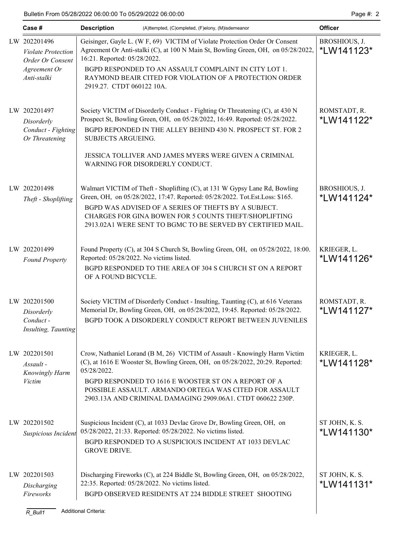Bulletin From 05/28/2022 06:00:00 To 05/29/2022 06:00:00 Page #: 2

|  | Case #                                                                        | <b>Description</b><br>(A)ttempted, (C)ompleted, (F)elony, (M)isdemeanor                                                                                                                                                                                                                                                                                     | <b>Officer</b>               |
|--|-------------------------------------------------------------------------------|-------------------------------------------------------------------------------------------------------------------------------------------------------------------------------------------------------------------------------------------------------------------------------------------------------------------------------------------------------------|------------------------------|
|  | LW 202201496<br><b>Violate Protection</b><br>Order Or Consent<br>Agreement Or | Geisinger, Gayle L. (W F, 69) VICTIM of Violate Protection Order Or Consent<br>Agreement Or Anti-stalki (C), at 100 N Main St, Bowling Green, OH, on 05/28/2022,<br>16:21. Reported: 05/28/2022.<br>BGPD RESPONDED TO AN ASSAULT COMPLAINT IN CITY LOT 1.                                                                                                   | BROSHIOUS, J.<br>*LW141123*  |
|  | Anti-stalki                                                                   | RAYMOND BEAIR CITED FOR VIOLATION OF A PROTECTION ORDER<br>2919.27. CTDT 060122 10A.                                                                                                                                                                                                                                                                        |                              |
|  | LW 202201497<br>Disorderly<br>Conduct - Fighting<br>Or Threatening            | Society VICTIM of Disorderly Conduct - Fighting Or Threatening (C), at 430 N<br>Prospect St, Bowling Green, OH, on 05/28/2022, 16:49. Reported: 05/28/2022.<br>BGPD REPONDED IN THE ALLEY BEHIND 430 N. PROSPECT ST. FOR 2<br>SUBJECTS ARGUEING.                                                                                                            | ROMSTADT, R.<br>*LW141122*   |
|  |                                                                               | JESSICA TOLLIVER AND JAMES MYERS WERE GIVEN A CRIMINAL<br>WARNING FOR DISORDERLY CONDUCT.                                                                                                                                                                                                                                                                   |                              |
|  | LW 202201498<br>Theft - Shoplifting                                           | Walmart VICTIM of Theft - Shoplifting (C), at 131 W Gypsy Lane Rd, Bowling<br>Green, OH, on 05/28/2022, 17:47. Reported: 05/28/2022. Tot.Est.Loss: \$165.<br>BGPD WAS ADVISED OF A SERIES OF THEFTS BY A SUBJECT.<br>CHARGES FOR GINA BOWEN FOR 5 COUNTS THEFT/SHOPLIFTING<br>2913.02A1 WERE SENT TO BGMC TO BE SERVED BY CERTIFIED MAIL.                   | BROSHIOUS, J.<br>*LW141124*  |
|  | LW 202201499<br><b>Found Property</b>                                         | Found Property (C), at 304 S Church St, Bowling Green, OH, on 05/28/2022, 18:00.<br>Reported: 05/28/2022. No victims listed.<br>BGPD RESPONDED TO THE AREA OF 304 S CHURCH ST ON A REPORT<br>OF A FOUND BICYCLE.                                                                                                                                            | KRIEGER, L.<br>*LW141126*    |
|  | LW 202201500<br>Disorderly<br>Conduct -<br>Insulting, Taunting                | Society VICTIM of Disorderly Conduct - Insulting, Taunting (C), at 616 Veterans<br>Memorial Dr, Bowling Green, OH, on 05/28/2022, 19:45. Reported: 05/28/2022.<br>BGPD TOOK A DISORDERLY CONDUCT REPORT BETWEEN JUVENILES                                                                                                                                   | ROMSTADT, R.<br>*LW141127*   |
|  | LW 202201501<br>Assault -<br>Knowingly Harm<br><i>Victim</i>                  | Crow, Nathaniel Lorand (B M, 26) VICTIM of Assault - Knowingly Harm Victim<br>(C), at 1616 E Wooster St, Bowling Green, OH, on 05/28/2022, 20:29. Reported:<br>05/28/2022.<br>BGPD RESPONDED TO 1616 E WOOSTER ST ON A REPORT OF A<br>POSSIBLE ASSAULT. ARMANDO ORTEGA WAS CITED FOR ASSAULT<br>2903.13A AND CRIMINAL DAMAGING 2909.06A1. CTDT 060622 230P. | KRIEGER, L.<br>*LW141128*    |
|  | LW 202201502<br>Suspicious Incident                                           | Suspicious Incident (C), at 1033 Devlac Grove Dr, Bowling Green, OH, on<br>05/28/2022, 21:33. Reported: 05/28/2022. No victims listed.<br>BGPD RESPONDED TO A SUSPICIOUS INCIDENT AT 1033 DEVLAC<br><b>GROVE DRIVE.</b>                                                                                                                                     | ST JOHN, K. S.<br>*LW141130* |
|  | LW 202201503<br>Discharging<br>Fireworks                                      | Discharging Fireworks (C), at 224 Biddle St, Bowling Green, OH, on 05/28/2022,<br>22:35. Reported: 05/28/2022. No victims listed.<br>BGPD OBSERVED RESIDENTS AT 224 BIDDLE STREET SHOOTING                                                                                                                                                                  | ST JOHN, K. S.<br>*LW141131* |
|  | $R_B$ ull1                                                                    | <b>Additional Criteria:</b>                                                                                                                                                                                                                                                                                                                                 |                              |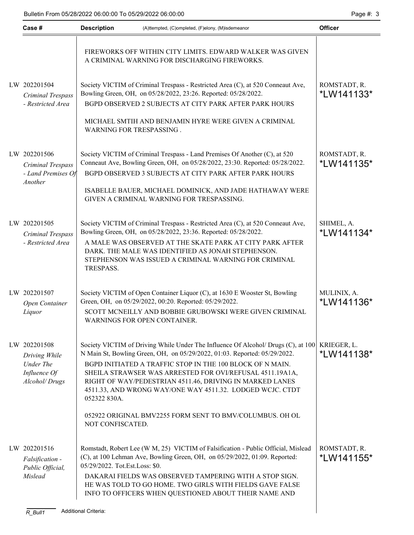| Case #                                                                      | <b>Officer</b>                                                                                                                                                                                                                                                                                                                                                                                                                   |                                   |
|-----------------------------------------------------------------------------|----------------------------------------------------------------------------------------------------------------------------------------------------------------------------------------------------------------------------------------------------------------------------------------------------------------------------------------------------------------------------------------------------------------------------------|-----------------------------------|
|                                                                             | FIREWORKS OFF WITHIN CITY LIMITS. EDWARD WALKER WAS GIVEN<br>A CRIMINAL WARNING FOR DISCHARGING FIREWORKS.                                                                                                                                                                                                                                                                                                                       |                                   |
| LW 202201504<br>Criminal Trespass<br>- Restricted Area                      | Society VICTIM of Criminal Trespass - Restricted Area (C), at 520 Conneaut Ave,<br>Bowling Green, OH, on 05/28/2022, 23:26. Reported: 05/28/2022.<br>BGPD OBSERVED 2 SUBJECTS AT CITY PARK AFTER PARK HOURS                                                                                                                                                                                                                      | ROMSTADT, R.<br>*LW141133*        |
|                                                                             | MICHAEL SMTIH AND BENJAMIN HYRE WERE GIVEN A CRIMINAL<br>WARNING FOR TRESPASSING.                                                                                                                                                                                                                                                                                                                                                |                                   |
| LW 202201506<br>Criminal Trespass<br>- Land Premises Of<br>Another          | Society VICTIM of Criminal Trespass - Land Premises Of Another (C), at 520<br>Conneaut Ave, Bowling Green, OH, on 05/28/2022, 23:30. Reported: 05/28/2022.<br>BGPD OBSERVED 3 SUBJECTS AT CITY PARK AFTER PARK HOURS                                                                                                                                                                                                             | ROMSTADT, R.<br>*LW141135*        |
|                                                                             | ISABELLE BAUER, MICHAEL DOMINICK, AND JADE HATHAWAY WERE<br>GIVEN A CRIMINAL WARNING FOR TRESPASSING.                                                                                                                                                                                                                                                                                                                            |                                   |
| LW 202201505<br>Criminal Trespass<br>- Restricted Area                      | Society VICTIM of Criminal Trespass - Restricted Area (C), at 520 Conneaut Ave,<br>Bowling Green, OH, on 05/28/2022, 23:36. Reported: 05/28/2022.<br>A MALE WAS OBSERVED AT THE SKATE PARK AT CITY PARK AFTER<br>DARK. THE MALE WAS IDENTIFIED AS JONAH STEPHENSON.<br>STEPHENSON WAS ISSUED A CRIMINAL WARNING FOR CRIMINAL<br>TRESPASS.                                                                                        | SHIMEL, A.<br>*LW141134*          |
| LW 202201507<br>Open Container<br>Liquor                                    | Society VICTIM of Open Container Liquor (C), at 1630 E Wooster St, Bowling<br>Green, OH, on 05/29/2022, 00:20. Reported: 05/29/2022.<br>SCOTT MCNEILLY AND BOBBIE GRUBOWSKI WERE GIVEN CRIMINAL<br>WARNINGS FOR OPEN CONTAINER.                                                                                                                                                                                                  | MULINIX, A.<br><i>*</i> LW141136* |
| LW 202201508<br>Driving While<br>Under The<br>Influence Of<br>Alcohol/Drugs | Society VICTIM of Driving While Under The Influence Of Alcohol/ Drugs (C), at 100<br>N Main St, Bowling Green, OH, on 05/29/2022, 01:03. Reported: 05/29/2022.<br>BGPD INITIATED A TRAFFIC STOP IN THE 100 BLOCK OF N MAIN.<br>SHEILA STRAWSER WAS ARRESTED FOR OVI/REFUSAL 4511.19A1A,<br>RIGHT OF WAY/PEDESTRIAN 4511.46, DRIVING IN MARKED LANES<br>4511.33, AND WRONG WAY/ONE WAY 4511.32. LODGED WCJC. CTDT<br>052322 830A. | KRIEGER, L.<br>*LW141138*         |
|                                                                             | 052922 ORIGINAL BMV2255 FORM SENT TO BMV/COLUMBUS. OH OL<br>NOT CONFISCATED.                                                                                                                                                                                                                                                                                                                                                     |                                   |
| LW 202201516<br>Falsification -<br>Public Official,<br>Mislead              | Romstadt, Robert Lee (W M, 25) VICTIM of Falsification - Public Official, Mislead<br>(C), at 100 Lehman Ave, Bowling Green, OH, on 05/29/2022, 01:09. Reported:<br>05/29/2022. Tot.Est.Loss: \$0.<br>DAKARAI FIELDS WAS OBSERVED TAMPERING WITH A STOP SIGN.<br>HE WAS TOLD TO GO HOME. TWO GIRLS WITH FIELDS GAVE FALSE<br>INFO TO OFFICERS WHEN QUESTIONED ABOUT THEIR NAME AND                                                | ROMSTADT, R.<br>*LW141155*        |
| $R$ $Bull1$                                                                 | <b>Additional Criteria:</b>                                                                                                                                                                                                                                                                                                                                                                                                      |                                   |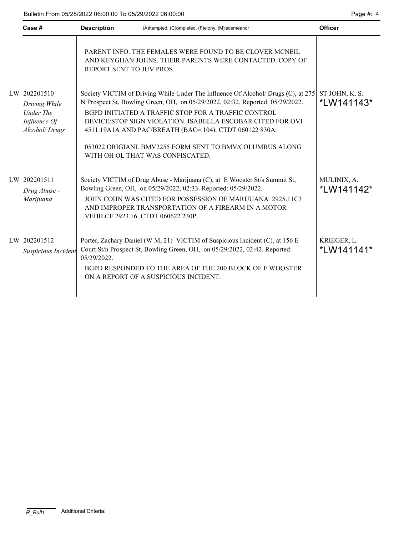| Page #: |  |
|---------|--|
|---------|--|

| Case #                                                                             | <b>Description</b><br>(A)ttempted, (C)ompleted, (F)elony, (M)isdemeanor |                                                                                                                                                                                                                                                                                                                                                                                                                                                   | <b>Officer</b>               |  |
|------------------------------------------------------------------------------------|-------------------------------------------------------------------------|---------------------------------------------------------------------------------------------------------------------------------------------------------------------------------------------------------------------------------------------------------------------------------------------------------------------------------------------------------------------------------------------------------------------------------------------------|------------------------------|--|
|                                                                                    | REPORT SENT TO JUV PROS.                                                | PARENT INFO. THE FEMALES WERE FOUND TO BE CLOVER MCNEIL<br>AND KEYGHAN JOHNS. THEIR PARENTS WERE CONTACTED. COPY OF                                                                                                                                                                                                                                                                                                                               |                              |  |
| LW 202201510<br>Driving While<br><b>Under The</b><br>Influence Of<br>Alcohol/Drugs |                                                                         | Society VICTIM of Driving While Under The Influence Of Alcohol/ Drugs (C), at 275<br>N Prospect St, Bowling Green, OH, on 05/29/2022, 02:32. Reported: 05/29/2022.<br>BGPD INITIATED A TRAFFIC STOP FOR A TRAFFIC CONTROL<br>DEVICE/STOP SIGN VIOLATION. ISABELLA ESCOBAR CITED FOR OVI<br>4511.19A1A AND PAC/BREATH (BAC=.104). CTDT 060122 830A.<br>053022 ORIGIANL BMV2255 FORM SENT TO BMV/COLUMBUS ALONG<br>WITH OH OL THAT WAS CONFISCATED. | ST JOHN, K. S.<br>*LW141143* |  |
| LW 202201511<br>Drug Abuse -<br>Marijuana                                          |                                                                         | Society VICTIM of Drug Abuse - Marijuana (C), at E Wooster St/s Summit St,<br>Bowling Green, OH, on 05/29/2022, 02:33. Reported: 05/29/2022.<br>JOHN COHN WAS CITED FOR POSSESSION OF MARIJUANA 2925.11C3<br>AND IMPROPER TRANSPORTATION OF A FIREARM IN A MOTOR<br>VEHILCE 2923.16. CTDT 060622 230P.                                                                                                                                            | MULINIX, A.<br>*LW141142*    |  |
| LW 202201512<br>Suspicious Incident                                                | 05/29/2022.                                                             | Porter, Zachary Daniel (W M, 21) VICTIM of Suspicious Incident (C), at 156 E<br>Court St/n Prospect St, Bowling Green, OH, on 05/29/2022, 02:42. Reported:<br>BGPD RESPONDED TO THE AREA OF THE 200 BLOCK OF E WOOSTER<br>ON A REPORT OF A SUSPICIOUS INCIDENT.                                                                                                                                                                                   | KRIEGER, L.<br>*LW141141*    |  |